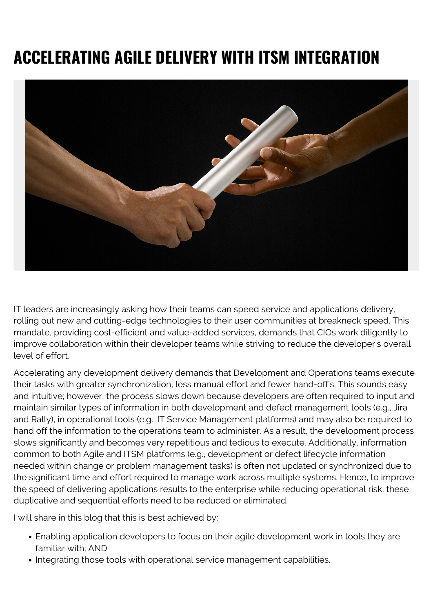## **ACCELERATING AGILE DELIVERY WITH ITSM INTEGRATION**



IT leaders are increasingly asking how their teams can speed service and applications delivery, rolling out new and cutting-edge technologies to their user communities at breakneck speed. This mandate, providing cost-efficient and value-added services, demands that CIOs work diligently to improve collaboration within their developer teams while striving to reduce the developer's overall level of effort.

Accelerating any development delivery demands that Development and Operations teams execute their tasks with greater synchronization, less manual effort and fewer hand-off's. This sounds easy and intuitive; however, the process slows down because developers are often required to input and maintain similar types of information in both development and defect management tools (e.g., Jira and Rally), in operational tools (e.g., IT Service Management platforms) and may also be required to hand off the information to the operations team to administer. As a result, the development process slows significantly and becomes very repetitious and tedious to execute. Additionally, information common to both Agile and ITSM platforms (e.g., development or defect lifecycle information needed within change or problem management tasks) is often not updated or synchronized due to the significant time and effort required to manage work across multiple systems. Hence, to improve the speed of delivering applications results to the enterprise while reducing operational risk, these duplicative and sequential efforts need to be reduced or eliminated.

I will share in this blog that this is best achieved by:

- Enabling application developers to focus on their agile development work in tools they are familiar with; AND
- Integrating those tools with operational service management capabilities.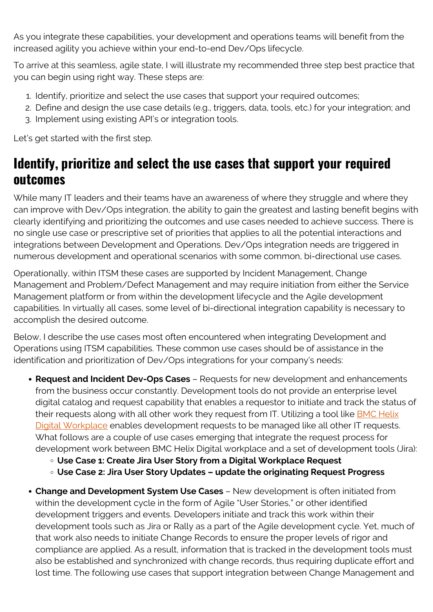As you integrate these capabilities, your development and operations teams will benefit from the increased agility you achieve within your end-to-end Dev/Ops lifecycle.

To arrive at this seamless, agile state, I will illustrate my recommended three step best practice that you can begin using right way. These steps are:

- 1. Identify, prioritize and select the use cases that support your required outcomes;
- 2. Define and design the use case details (e.g., triggers, data, tools, etc.) for your integration; and
- 3. Implement using existing API's or integration tools.

Let's get started with the first step.

## **Identify, prioritize and select the use cases that support your required outcomes**

While many IT leaders and their teams have an awareness of where they struggle and where they can improve with Dev/Ops integration, the ability to gain the greatest and lasting benefit begins with clearly identifying and prioritizing the outcomes and use cases needed to achieve success. There is no single use case or prescriptive set of priorities that applies to all the potential interactions and integrations between Development and Operations. Dev/Ops integration needs are triggered in numerous development and operational scenarios with some common, bi-directional use cases.

Operationally, within ITSM these cases are supported by Incident Management, Change Management and Problem/Defect Management and may require initiation from either the Service Management platform or from within the development lifecycle and the Agile development capabilities. In virtually all cases, some level of bi-directional integration capability is necessary to accomplish the desired outcome.

Below, I describe the use cases most often encountered when integrating Development and Operations using ITSM capabilities. These common use cases should be of assistance in the identification and prioritization of Dev/Ops integrations for your company's needs:

- **Request and Incident Dev-Ops Cases** Requests for new development and enhancements from the business occur constantly. Development tools do not provide an enterprise level digital catalog and request capability that enables a requestor to initiate and track the status of their requests along with all other work they request from IT. Utilizing a tool like **[BMC Helix](https://blogs.bmc.com/it-solutions/digital-workplace.html)** [Digital Workplace](https://blogs.bmc.com/it-solutions/digital-workplace.html) enables development requests to be managed like all other IT requests. What follows are a couple of use cases emerging that integrate the request process for development work between BMC Helix Digital workplace and a set of development tools (Jira):
	- **Use Case 1: Create Jira User Story from a Digital Workplace Request**
	- **Use Case 2: Jira User Story Updates update the originating Request Progress**
- **Change and Development System Use Cases** New development is often initiated from within the development cycle in the form of Agile "User Stories," or other identified development triggers and events. Developers initiate and track this work within their development tools such as Jira or Rally as a part of the Agile development cycle. Yet, much of that work also needs to initiate Change Records to ensure the proper levels of rigor and compliance are applied. As a result, information that is tracked in the development tools must also be established and synchronized with change records, thus requiring duplicate effort and lost time. The following use cases that support integration between Change Management and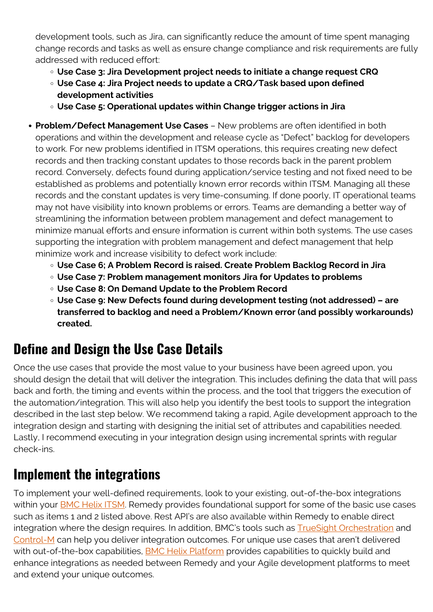development tools, such as Jira, can significantly reduce the amount of time spent managing change records and tasks as well as ensure change compliance and risk requirements are fully addressed with reduced effort:

- **Use Case 3: Jira Development project needs to initiate a change request CRQ**
- **Use Case 4: Jira Project needs to update a CRQ/Task based upon defined development activities**
- **Use Case 5: Operational updates within Change trigger actions in Jira**
- **Problem/Defect Management Use Cases** New problems are often identified in both operations and within the development and release cycle as "Defect" backlog for developers to work. For new problems identified in ITSM operations, this requires creating new defect records and then tracking constant updates to those records back in the parent problem record. Conversely, defects found during application/service testing and not fixed need to be established as problems and potentially known error records within ITSM. Managing all these records and the constant updates is very time-consuming. If done poorly, IT operational teams may not have visibility into known problems or errors. Teams are demanding a better way of streamlining the information between problem management and defect management to minimize manual efforts and ensure information is current within both systems. The use cases supporting the integration with problem management and defect management that help minimize work and increase visibility to defect work include:
	- **Use Case 6; A Problem Record is raised. Create Problem Backlog Record in Jira**
	- **Use Case 7: Problem management monitors Jira for Updates to problems**
	- **Use Case 8: On Demand Update to the Problem Record**
	- **Use Case 9: New Defects found during development testing (not addressed) are transferred to backlog and need a Problem/Known error (and possibly workarounds) created.**

## **Define and Design the Use Case Details**

Once the use cases that provide the most value to your business have been agreed upon, you should design the detail that will deliver the integration. This includes defining the data that will pass back and forth, the timing and events within the process, and the tool that triggers the execution of the automation/integration. This will also help you identify the best tools to support the integration described in the last step below. We recommend taking a rapid, Agile development approach to the integration design and starting with designing the initial set of attributes and capabilities needed. Lastly, I recommend executing in your integration design using incremental sprints with regular check-ins.

## **Implement the integrations**

To implement your well-defined requirements, look to your existing, out-of-the-box integrations within your [BMC Helix ITSM.](https://blogs.bmc.com/it-solutions/bmc-helix-itsm.html) Remedy provides foundational support for some of the basic use cases such as items 1 and 2 listed above. Rest API's are also available within Remedy to enable direct integration where the design requires. In addition, BMC's tools such as **TrueSight Orchestration** and [Control-M](https://blogs.bmc.com/it-solutions/control-m.html) can help you deliver integration outcomes. For unique use cases that aren't delivered with out-of-the-box capabilities, **[BMC Helix Platform](https://blogs.bmc.com/it-solutions/bmc-helix-platform.html)** provides capabilities to quickly build and enhance integrations as needed between Remedy and your Agile development platforms to meet and extend your unique outcomes.